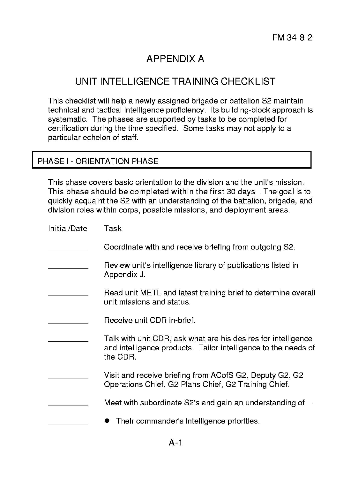## **APPENDIX A**

## **UNIT INTELLIGENCE TRAINING CHECKLIST**

This checklist will help a newly assigned brigade or battalion S2 maintain technical and tactical intelligence proficiency. Its building-block approach is systematic. The phases are supported by tasks to be completed for certification during the time specified. Some tasks may not apply to a particular echelon of staff.

## PHASE I - ORIENTATION PHASE

I

This phase covers basic orientation to the division and the unit's mission. This phase should be completed within the first 30 days. The goal is to quickly acquaint the S2 with an understanding of the battalion, brigade, and division roles within corps, possible missions, and deployment areas.

| Initial/Date | Task                                                                                                                                        |
|--------------|---------------------------------------------------------------------------------------------------------------------------------------------|
|              | Coordinate with and receive briefing from outgoing S2.                                                                                      |
|              | Review unit's intelligence library of publications listed in<br>Appendix J.                                                                 |
|              | Read unit METL and latest training brief to determine overall<br>unit missions and status.                                                  |
|              | Receive unit CDR in-brief.                                                                                                                  |
|              | Talk with unit CDR; ask what are his desires for intelligence<br>and intelligence products. Tailor intelligence to the needs of<br>the CDR. |
|              | Visit and receive briefing from ACofS G2, Deputy G2, G2<br>Operations Chief, G2 Plans Chief, G2 Training Chief.                             |
|              | Meet with subordinate S2's and gain an understanding of-                                                                                    |
|              | Their commander's intelligence priorities.                                                                                                  |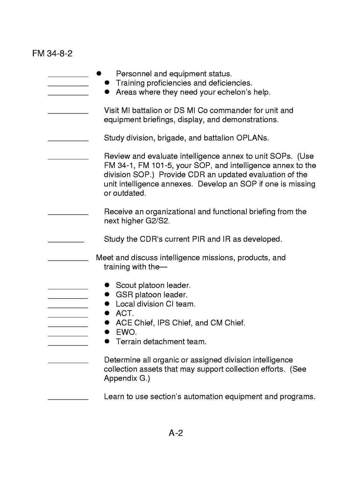## **FM** 34-8-2

| Personnel and equipment status.<br>Training proficiencies and deficiencies.<br>Areas where they need your echelon's help.                                                                                                                                         |
|-------------------------------------------------------------------------------------------------------------------------------------------------------------------------------------------------------------------------------------------------------------------|
| Visit MI battalion or DS MI Co commander for unit and<br>equipment briefings, display, and demonstrations.                                                                                                                                                        |
| Study division, brigade, and battalion OPLANs.                                                                                                                                                                                                                    |
| Review and evaluate intelligence annex to unit SOPs. (Use<br>FM 34-1, FM 101-5, your SOP, and intelligence annex to the<br>division SOP.) Provide CDR an updated evaluation of the<br>unit intelligence annexes. Develop an SOP if one is missing<br>or outdated. |
| Receive an organizational and functional briefing from the<br>next higher G2/S2.                                                                                                                                                                                  |
| Study the CDR's current PIR and IR as developed.                                                                                                                                                                                                                  |
| Meet and discuss intelligence missions, products, and<br>training with the-                                                                                                                                                                                       |
| Scout platoon leader.<br>GSR platoon leader.<br>Local division CI team.<br>ACT.<br>ACE Chief, IPS Chief, and CM Chief.<br>EWO.<br>Terrain detachment team.                                                                                                        |
| Determine all organic or assigned division intelligence<br>collection assets that may support collection efforts. (See<br>Appendix G.)                                                                                                                            |
| Learn to use section's automation equipment and programs.                                                                                                                                                                                                         |